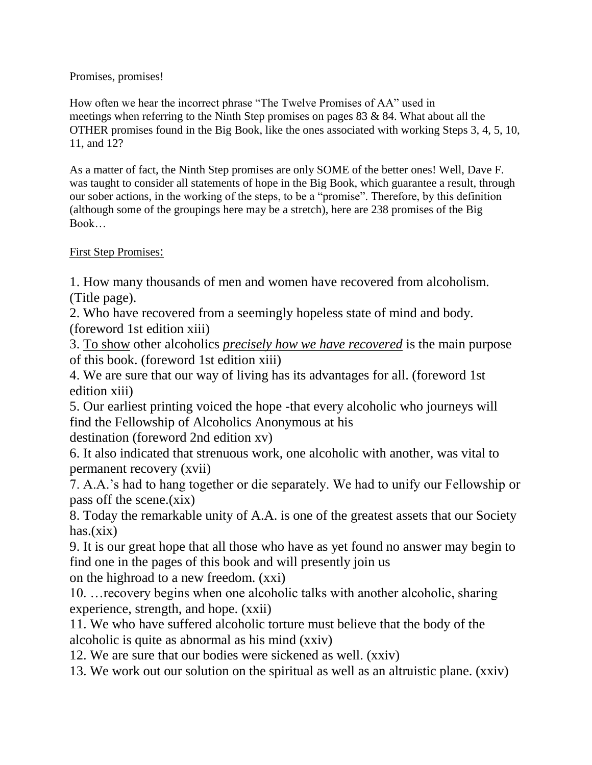## Promises, promises!

How often we hear the incorrect phrase "The Twelve Promises of AA" used in meetings when referring to the Ninth Step promises on pages 83 & 84. What about all the OTHER promises found in the Big Book, like the ones associated with working Steps 3, 4, 5, 10, 11, and 12?

As a matter of fact, the Ninth Step promises are only SOME of the better ones! Well, Dave F. was taught to consider all statements of hope in the Big Book, which guarantee a result, through our sober actions, in the working of the steps, to be a "promise". Therefore, by this definition (although some of the groupings here may be a stretch), here are 238 promises of the Big Book…

## First Step Promises:

1. How many thousands of men and women have recovered from alcoholism. (Title page).

2. Who have recovered from a seemingly hopeless state of mind and body. (foreword 1st edition xiii)

3. To show other alcoholics *precisely how we have recovered* is the main purpose of this book. (foreword 1st edition xiii)

4. We are sure that our way of living has its advantages for all. (foreword 1st edition xiii)

5. Our earliest printing voiced the hope -that every alcoholic who journeys will find the Fellowship of Alcoholics Anonymous at his

destination (foreword 2nd edition xv)

6. It also indicated that strenuous work, one alcoholic with another, was vital to permanent recovery (xvii)

7. A.A.'s had to hang together or die separately. We had to unify our Fellowship or pass off the scene.(xix)

8. Today the remarkable unity of A.A. is one of the greatest assets that our Society has.(xix)

9. It is our great hope that all those who have as yet found no answer may begin to find one in the pages of this book and will presently join us

on the highroad to a new freedom. (xxi)

10. …recovery begins when one alcoholic talks with another alcoholic, sharing experience, strength, and hope. (xxii)

11. We who have suffered alcoholic torture must believe that the body of the alcoholic is quite as abnormal as his mind (xxiv)

12. We are sure that our bodies were sickened as well. (xxiv)

13. We work out our solution on the spiritual as well as an altruistic plane. (xxiv)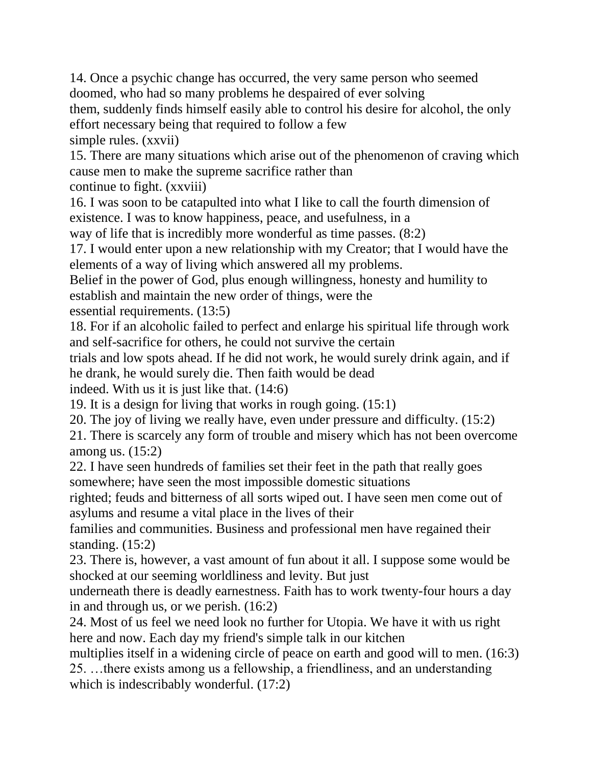14. Once a psychic change has occurred, the very same person who seemed doomed, who had so many problems he despaired of ever solving them, suddenly finds himself easily able to control his desire for alcohol, the only effort necessary being that required to follow a few simple rules. (xxvii)

15. There are many situations which arise out of the phenomenon of craving which cause men to make the supreme sacrifice rather than

continue to fight. (xxviii)

16. I was soon to be catapulted into what I like to call the fourth dimension of existence. I was to know happiness, peace, and usefulness, in a

way of life that is incredibly more wonderful as time passes. (8:2)

17. I would enter upon a new relationship with my Creator; that I would have the elements of a way of living which answered all my problems.

Belief in the power of God, plus enough willingness, honesty and humility to establish and maintain the new order of things, were the

essential requirements. (13:5)

18. For if an alcoholic failed to perfect and enlarge his spiritual life through work and self-sacrifice for others, he could not survive the certain

trials and low spots ahead. If he did not work, he would surely drink again, and if he drank, he would surely die. Then faith would be dead

indeed. With us it is just like that. (14:6)

19. It is a design for living that works in rough going. (15:1)

20. The joy of living we really have, even under pressure and difficulty. (15:2)

21. There is scarcely any form of trouble and misery which has not been overcome among us. (15:2)

22. I have seen hundreds of families set their feet in the path that really goes somewhere; have seen the most impossible domestic situations

righted; feuds and bitterness of all sorts wiped out. I have seen men come out of asylums and resume a vital place in the lives of their

families and communities. Business and professional men have regained their standing. (15:2)

23. There is, however, a vast amount of fun about it all. I suppose some would be shocked at our seeming worldliness and levity. But just

underneath there is deadly earnestness. Faith has to work twenty-four hours a day in and through us, or we perish. (16:2)

24. Most of us feel we need look no further for Utopia. We have it with us right here and now. Each day my friend's simple talk in our kitchen

multiplies itself in a widening circle of peace on earth and good will to men. (16:3) 25. …there exists among us a fellowship, a friendliness, and an understanding which is indescribably wonderful.  $(17:2)$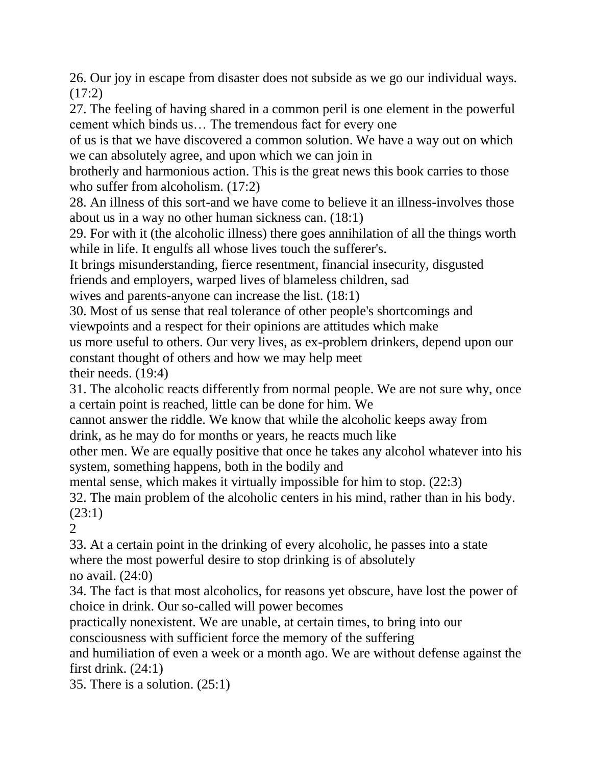26. Our joy in escape from disaster does not subside as we go our individual ways.  $(17:2)$ 

27. The feeling of having shared in a common peril is one element in the powerful cement which binds us… The tremendous fact for every one

of us is that we have discovered a common solution. We have a way out on which we can absolutely agree, and upon which we can join in

brotherly and harmonious action. This is the great news this book carries to those who suffer from alcoholism.  $(17:2)$ 

28. An illness of this sort-and we have come to believe it an illness-involves those about us in a way no other human sickness can. (18:1)

29. For with it (the alcoholic illness) there goes annihilation of all the things worth while in life. It engulfs all whose lives touch the sufferer's.

It brings misunderstanding, fierce resentment, financial insecurity, disgusted friends and employers, warped lives of blameless children, sad

wives and parents-anyone can increase the list. (18:1)

30. Most of us sense that real tolerance of other people's shortcomings and viewpoints and a respect for their opinions are attitudes which make us more useful to others. Our very lives, as ex-problem drinkers, depend upon our constant thought of others and how we may help meet their needs. (19:4)

31. The alcoholic reacts differently from normal people. We are not sure why, once a certain point is reached, little can be done for him. We

cannot answer the riddle. We know that while the alcoholic keeps away from drink, as he may do for months or years, he reacts much like

other men. We are equally positive that once he takes any alcohol whatever into his system, something happens, both in the bodily and

mental sense, which makes it virtually impossible for him to stop. (22:3)

32. The main problem of the alcoholic centers in his mind, rather than in his body. (23:1)

 $\mathcal{D}_{\mathcal{L}}$ 

33. At a certain point in the drinking of every alcoholic, he passes into a state where the most powerful desire to stop drinking is of absolutely no avail. (24:0)

34. The fact is that most alcoholics, for reasons yet obscure, have lost the power of choice in drink. Our so-called will power becomes

practically nonexistent. We are unable, at certain times, to bring into our consciousness with sufficient force the memory of the suffering

and humiliation of even a week or a month ago. We are without defense against the first drink.  $(24:1)$ 

35. There is a solution. (25:1)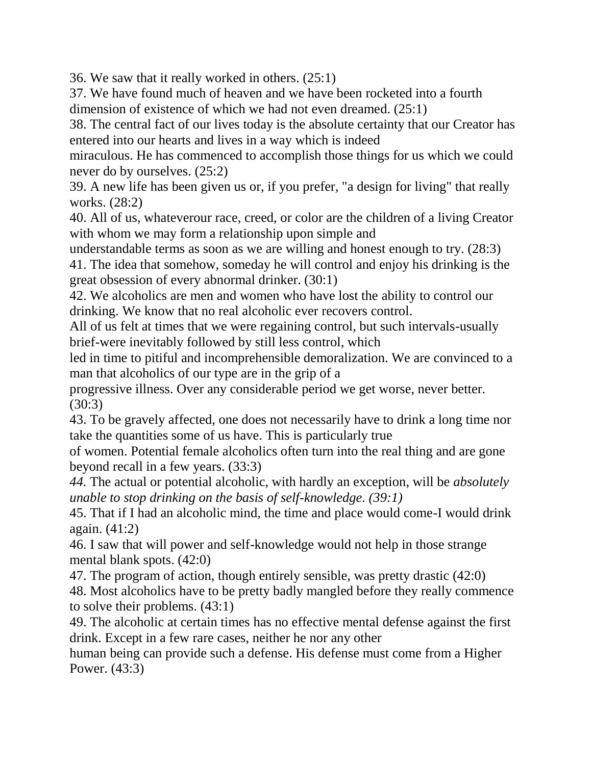36. We saw that it really worked in others. (25:1)

37. We have found much of heaven and we have been rocketed into a fourth dimension of existence of which we had not even dreamed. (25:1)

38. The central fact of our lives today is the absolute certainty that our Creator has entered into our hearts and lives in a way which is indeed

miraculous. He has commenced to accomplish those things for us which we could never do by ourselves. (25:2)

39. A new life has been given us or, if you prefer, "a design for living" that really works. (28:2)

40. All of us, whateverour race, creed, or color are the children of a living Creator with whom we may form a relationship upon simple and

understandable terms as soon as we are willing and honest enough to try. (28:3)

41. The idea that somehow, someday he will control and enjoy his drinking is the great obsession of every abnormal drinker. (30:1)

42. We alcoholics are men and women who have lost the ability to control our drinking. We know that no real alcoholic ever recovers control.

All of us felt at times that we were regaining control, but such intervals-usually brief-were inevitably followed by still less control, which

led in time to pitiful and incomprehensible demoralization. We are convinced to a man that alcoholics of our type are in the grip of a

progressive illness. Over any considerable period we get worse, never better. (30:3)

43. To be gravely affected, one does not necessarily have to drink a long time nor take the quantities some of us have. This is particularly true

of women. Potential female alcoholics often turn into the real thing and are gone beyond recall in a few years. (33:3)

*44.* The actual or potential alcoholic, with hardly an exception, will be *absolutely unable to stop drinking on the basis of self-knowledge. (39:1)*

45. That if I had an alcoholic mind, the time and place would come-I would drink again. (41:2)

46. I saw that will power and self-knowledge would not help in those strange mental blank spots. (42:0)

47. The program of action, though entirely sensible, was pretty drastic (42:0) 48. Most alcoholics have to be pretty badly mangled before they really commence to solve their problems. (43:1)

49. The alcoholic at certain times has no effective mental defense against the first drink. Except in a few rare cases, neither he nor any other

human being can provide such a defense. His defense must come from a Higher Power. (43:3)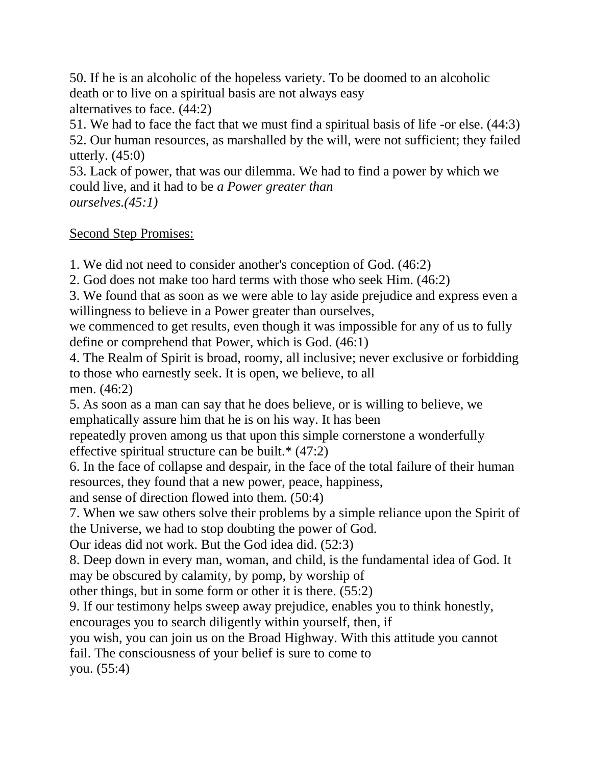50. If he is an alcoholic of the hopeless variety. To be doomed to an alcoholic death or to live on a spiritual basis are not always easy alternatives to face. (44:2)

51. We had to face the fact that we must find a spiritual basis of life -or else. (44:3) 52. Our human resources, as marshalled by the will, were not sufficient; they failed utterly.  $(45:0)$ 

53. Lack of power, that was our dilemma. We had to find a power by which we could live, and it had to be *a Power greater than ourselves.(45:1)*

## Second Step Promises:

1. We did not need to consider another's conception of God. (46:2)

2. God does not make too hard terms with those who seek Him. (46:2)

3. We found that as soon as we were able to lay aside prejudice and express even a willingness to believe in a Power greater than ourselves,

we commenced to get results, even though it was impossible for any of us to fully define or comprehend that Power, which is God. (46:1)

4. The Realm of Spirit is broad, roomy, all inclusive; never exclusive or forbidding to those who earnestly seek. It is open, we believe, to all men. (46:2)

5. As soon as a man can say that he does believe, or is willing to believe, we emphatically assure him that he is on his way. It has been

repeatedly proven among us that upon this simple cornerstone a wonderfully effective spiritual structure can be built.\* (47:2)

6. In the face of collapse and despair, in the face of the total failure of their human resources, they found that a new power, peace, happiness,

and sense of direction flowed into them. (50:4)

7. When we saw others solve their problems by a simple reliance upon the Spirit of the Universe, we had to stop doubting the power of God.

Our ideas did not work. But the God idea did. (52:3)

8. Deep down in every man, woman, and child, is the fundamental idea of God. It may be obscured by calamity, by pomp, by worship of

other things, but in some form or other it is there. (55:2)

9. If our testimony helps sweep away prejudice, enables you to think honestly, encourages you to search diligently within yourself, then, if

you wish, you can join us on the Broad Highway. With this attitude you cannot

fail. The consciousness of your belief is sure to come to

you. (55:4)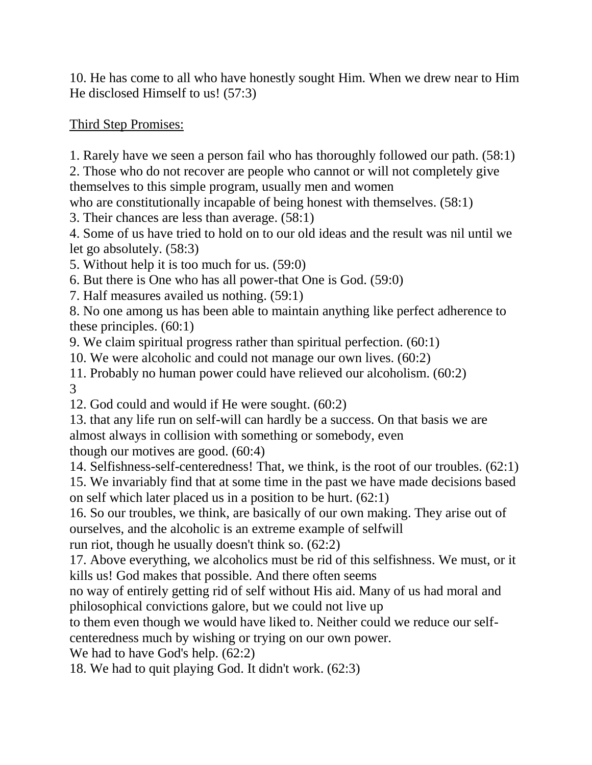10. He has come to all who have honestly sought Him. When we drew near to Him He disclosed Himself to us! (57:3)

Third Step Promises:

1. Rarely have we seen a person fail who has thoroughly followed our path. (58:1)

2. Those who do not recover are people who cannot or will not completely give themselves to this simple program, usually men and women

who are constitutionally incapable of being honest with themselves. (58:1)

3. Their chances are less than average. (58:1)

4. Some of us have tried to hold on to our old ideas and the result was nil until we let go absolutely. (58:3)

5. Without help it is too much for us. (59:0)

6. But there is One who has all power-that One is God. (59:0)

7. Half measures availed us nothing. (59:1)

8. No one among us has been able to maintain anything like perfect adherence to these principles. (60:1)

9. We claim spiritual progress rather than spiritual perfection. (60:1)

10. We were alcoholic and could not manage our own lives. (60:2)

11. Probably no human power could have relieved our alcoholism. (60:2) 3

12. God could and would if He were sought. (60:2)

13. that any life run on self-will can hardly be a success. On that basis we are almost always in collision with something or somebody, even

though our motives are good. (60:4)

14. Selfishness-self-centeredness! That, we think, is the root of our troubles. (62:1)

15. We invariably find that at some time in the past we have made decisions based on self which later placed us in a position to be hurt. (62:1)

16. So our troubles, we think, are basically of our own making. They arise out of ourselves, and the alcoholic is an extreme example of selfwill

run riot, though he usually doesn't think so. (62:2)

17. Above everything, we alcoholics must be rid of this selfishness. We must, or it kills us! God makes that possible. And there often seems

no way of entirely getting rid of self without His aid. Many of us had moral and philosophical convictions galore, but we could not live up

to them even though we would have liked to. Neither could we reduce our self-

centeredness much by wishing or trying on our own power.

We had to have God's help.  $(62:2)$ 

18. We had to quit playing God. It didn't work. (62:3)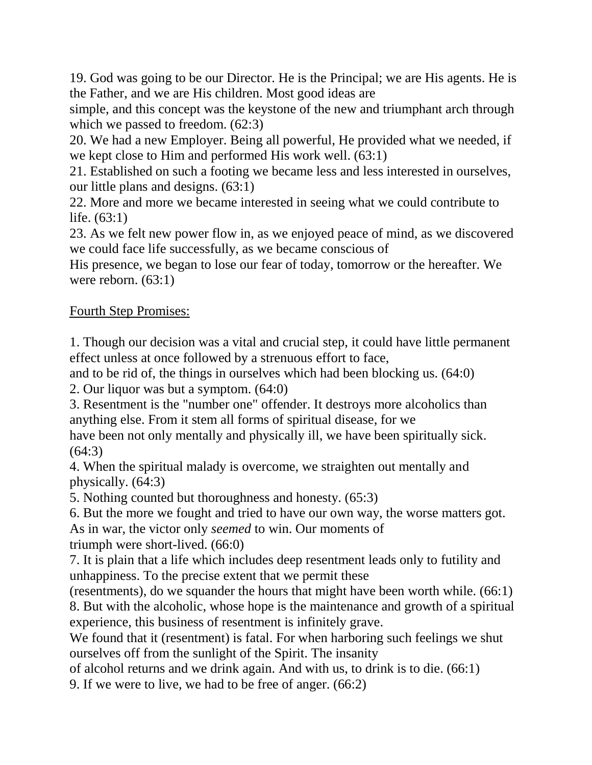19. God was going to be our Director. He is the Principal; we are His agents. He is the Father, and we are His children. Most good ideas are

simple, and this concept was the keystone of the new and triumphant arch through which we passed to freedom.  $(62:3)$ 

20. We had a new Employer. Being all powerful, He provided what we needed, if we kept close to Him and performed His work well. (63:1)

21. Established on such a footing we became less and less interested in ourselves, our little plans and designs. (63:1)

22. More and more we became interested in seeing what we could contribute to life. (63:1)

23. As we felt new power flow in, as we enjoyed peace of mind, as we discovered we could face life successfully, as we became conscious of

His presence, we began to lose our fear of today, tomorrow or the hereafter. We were reborn. (63:1)

## Fourth Step Promises:

1. Though our decision was a vital and crucial step, it could have little permanent effect unless at once followed by a strenuous effort to face,

and to be rid of, the things in ourselves which had been blocking us. (64:0)

2. Our liquor was but a symptom. (64:0)

3. Resentment is the "number one" offender. It destroys more alcoholics than anything else. From it stem all forms of spiritual disease, for we

have been not only mentally and physically ill, we have been spiritually sick. (64:3)

4. When the spiritual malady is overcome, we straighten out mentally and physically. (64:3)

5. Nothing counted but thoroughness and honesty. (65:3)

6. But the more we fought and tried to have our own way, the worse matters got. As in war, the victor only *seemed* to win. Our moments of triumph were short-lived. (66:0)

7. It is plain that a life which includes deep resentment leads only to futility and unhappiness. To the precise extent that we permit these

(resentments), do we squander the hours that might have been worth while. (66:1) 8. But with the alcoholic, whose hope is the maintenance and growth of a spiritual experience, this business of resentment is infinitely grave.

We found that it (resentment) is fatal. For when harboring such feelings we shut ourselves off from the sunlight of the Spirit. The insanity

of alcohol returns and we drink again. And with us, to drink is to die. (66:1)

9. If we were to live, we had to be free of anger. (66:2)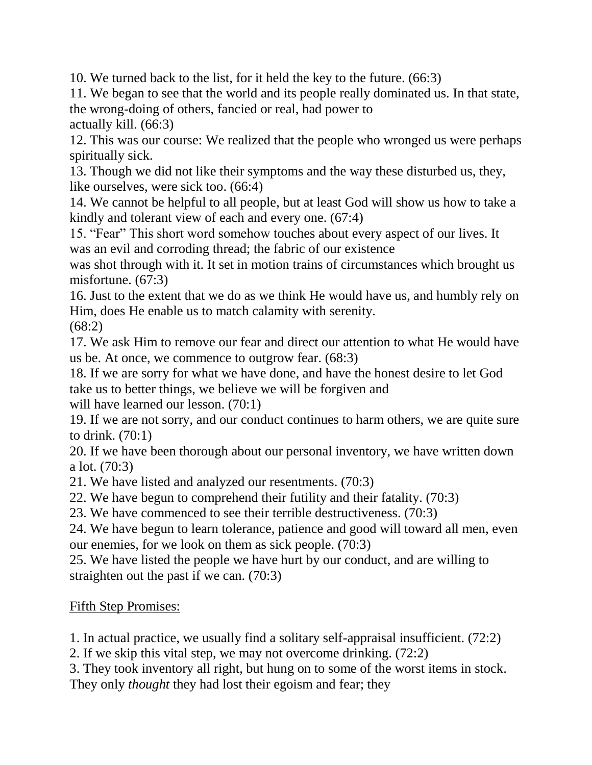10. We turned back to the list, for it held the key to the future. (66:3)

11. We began to see that the world and its people really dominated us. In that state, the wrong-doing of others, fancied or real, had power to

actually kill. (66:3)

12. This was our course: We realized that the people who wronged us were perhaps spiritually sick.

13. Though we did not like their symptoms and the way these disturbed us, they, like ourselves, were sick too. (66:4)

14. We cannot be helpful to all people, but at least God will show us how to take a kindly and tolerant view of each and every one. (67:4)

15. "Fear" This short word somehow touches about every aspect of our lives. It was an evil and corroding thread; the fabric of our existence

was shot through with it. It set in motion trains of circumstances which brought us misfortune. (67:3)

16. Just to the extent that we do as we think He would have us, and humbly rely on Him, does He enable us to match calamity with serenity.

(68:2)

17. We ask Him to remove our fear and direct our attention to what He would have us be. At once, we commence to outgrow fear. (68:3)

18. If we are sorry for what we have done, and have the honest desire to let God take us to better things, we believe we will be forgiven and

will have learned our lesson. (70:1)

19. If we are not sorry, and our conduct continues to harm others, we are quite sure to drink. (70:1)

20. If we have been thorough about our personal inventory, we have written down a lot. (70:3)

21. We have listed and analyzed our resentments. (70:3)

22. We have begun to comprehend their futility and their fatality. (70:3)

23. We have commenced to see their terrible destructiveness. (70:3)

24. We have begun to learn tolerance, patience and good will toward all men, even our enemies, for we look on them as sick people. (70:3)

25. We have listed the people we have hurt by our conduct, and are willing to straighten out the past if we can. (70:3)

Fifth Step Promises:

1. In actual practice, we usually find a solitary self-appraisal insufficient. (72:2)

2. If we skip this vital step, we may not overcome drinking. (72:2)

3. They took inventory all right, but hung on to some of the worst items in stock. They only *thought* they had lost their egoism and fear; they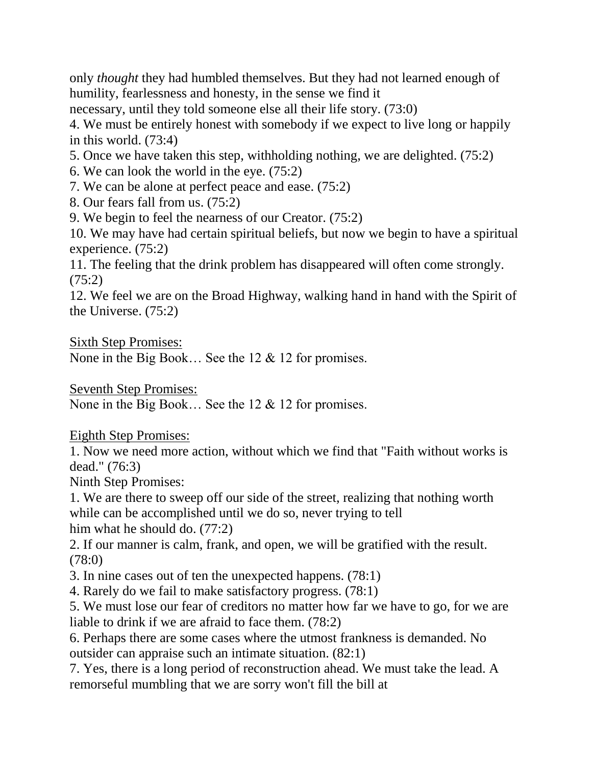only *thought* they had humbled themselves. But they had not learned enough of humility, fearlessness and honesty, in the sense we find it

necessary, until they told someone else all their life story. (73:0)

4. We must be entirely honest with somebody if we expect to live long or happily in this world. (73:4)

5. Once we have taken this step, withholding nothing, we are delighted. (75:2)

6. We can look the world in the eye. (75:2)

7. We can be alone at perfect peace and ease. (75:2)

8. Our fears fall from us. (75:2)

9. We begin to feel the nearness of our Creator. (75:2)

10. We may have had certain spiritual beliefs, but now we begin to have a spiritual experience. (75:2)

11. The feeling that the drink problem has disappeared will often come strongly. (75:2)

12. We feel we are on the Broad Highway, walking hand in hand with the Spirit of the Universe. (75:2)

Sixth Step Promises:

None in the Big Book… See the 12 & 12 for promises.

Seventh Step Promises:

None in the Big Book… See the 12 & 12 for promises.

Eighth Step Promises:

1. Now we need more action, without which we find that "Faith without works is dead." (76:3)

Ninth Step Promises:

1. We are there to sweep off our side of the street, realizing that nothing worth while can be accomplished until we do so, never trying to tell him what he should do. (77:2)

2. If our manner is calm, frank, and open, we will be gratified with the result. (78:0)

3. In nine cases out of ten the unexpected happens. (78:1)

4. Rarely do we fail to make satisfactory progress. (78:1)

5. We must lose our fear of creditors no matter how far we have to go, for we are liable to drink if we are afraid to face them. (78:2)

6. Perhaps there are some cases where the utmost frankness is demanded. No outsider can appraise such an intimate situation. (82:1)

7. Yes, there is a long period of reconstruction ahead. We must take the lead. A remorseful mumbling that we are sorry won't fill the bill at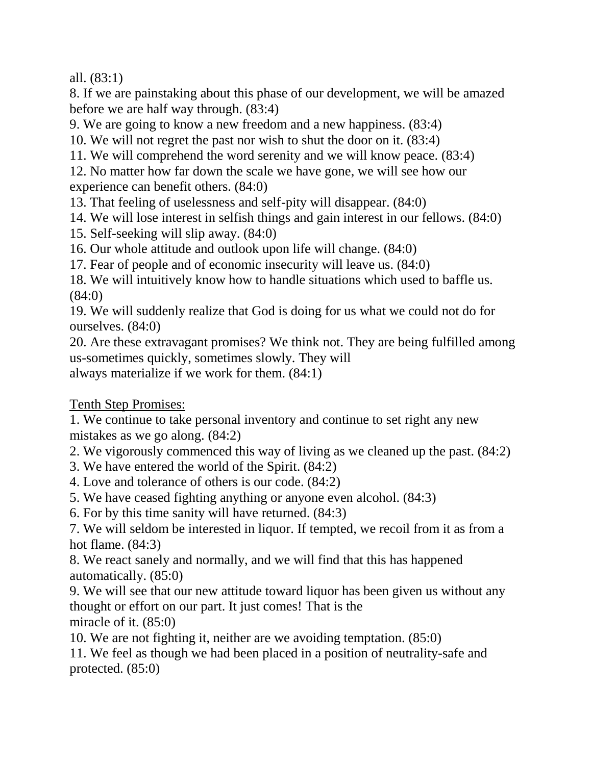all. (83:1)

8. If we are painstaking about this phase of our development, we will be amazed before we are half way through. (83:4)

9. We are going to know a new freedom and a new happiness. (83:4)

10. We will not regret the past nor wish to shut the door on it. (83:4)

11. We will comprehend the word serenity and we will know peace. (83:4)

12. No matter how far down the scale we have gone, we will see how our experience can benefit others. (84:0)

13. That feeling of uselessness and self-pity will disappear. (84:0)

14. We will lose interest in selfish things and gain interest in our fellows. (84:0)

15. Self-seeking will slip away. (84:0)

16. Our whole attitude and outlook upon life will change. (84:0)

17. Fear of people and of economic insecurity will leave us. (84:0)

18. We will intuitively know how to handle situations which used to baffle us. (84:0)

19. We will suddenly realize that God is doing for us what we could not do for ourselves. (84:0)

20. Are these extravagant promises? We think not. They are being fulfilled among us-sometimes quickly, sometimes slowly. They will always materialize if we work for them. (84:1)

Tenth Step Promises:

1. We continue to take personal inventory and continue to set right any new mistakes as we go along. (84:2)

2. We vigorously commenced this way of living as we cleaned up the past. (84:2)

3. We have entered the world of the Spirit. (84:2)

4. Love and tolerance of others is our code. (84:2)

5. We have ceased fighting anything or anyone even alcohol. (84:3)

6. For by this time sanity will have returned. (84:3)

7. We will seldom be interested in liquor. If tempted, we recoil from it as from a hot flame. (84:3)

8. We react sanely and normally, and we will find that this has happened automatically. (85:0)

9. We will see that our new attitude toward liquor has been given us without any thought or effort on our part. It just comes! That is the miracle of it. (85:0)

10. We are not fighting it, neither are we avoiding temptation. (85:0)

11. We feel as though we had been placed in a position of neutrality-safe and protected. (85:0)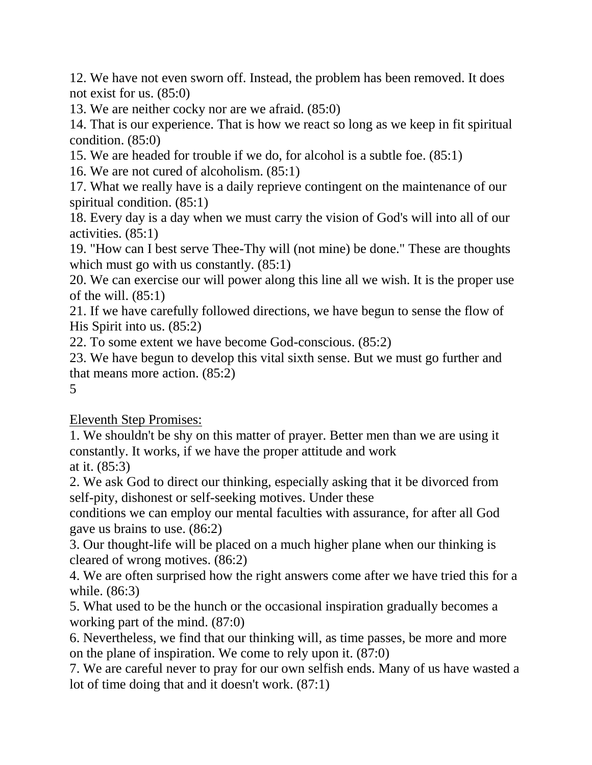12. We have not even sworn off. Instead, the problem has been removed. It does not exist for us. (85:0)

13. We are neither cocky nor are we afraid. (85:0)

14. That is our experience. That is how we react so long as we keep in fit spiritual condition. (85:0)

15. We are headed for trouble if we do, for alcohol is a subtle foe. (85:1)

16. We are not cured of alcoholism. (85:1)

17. What we really have is a daily reprieve contingent on the maintenance of our spiritual condition. (85:1)

18. Every day is a day when we must carry the vision of God's will into all of our activities. (85:1)

19. "How can I best serve Thee-Thy will (not mine) be done." These are thoughts which must go with us constantly.  $(85:1)$ 

20. We can exercise our will power along this line all we wish. It is the proper use of the will.  $(85:1)$ 

21. If we have carefully followed directions, we have begun to sense the flow of His Spirit into us. (85:2)

22. To some extent we have become God-conscious. (85:2)

23. We have begun to develop this vital sixth sense. But we must go further and that means more action. (85:2)

5

Eleventh Step Promises:

1. We shouldn't be shy on this matter of prayer. Better men than we are using it constantly. It works, if we have the proper attitude and work at it. (85:3)

2. We ask God to direct our thinking, especially asking that it be divorced from self-pity, dishonest or self-seeking motives. Under these

conditions we can employ our mental faculties with assurance, for after all God gave us brains to use. (86:2)

3. Our thought-life will be placed on a much higher plane when our thinking is cleared of wrong motives. (86:2)

4. We are often surprised how the right answers come after we have tried this for a while. (86:3)

5. What used to be the hunch or the occasional inspiration gradually becomes a working part of the mind. (87:0)

6. Nevertheless, we find that our thinking will, as time passes, be more and more on the plane of inspiration. We come to rely upon it. (87:0)

7. We are careful never to pray for our own selfish ends. Many of us have wasted a lot of time doing that and it doesn't work. (87:1)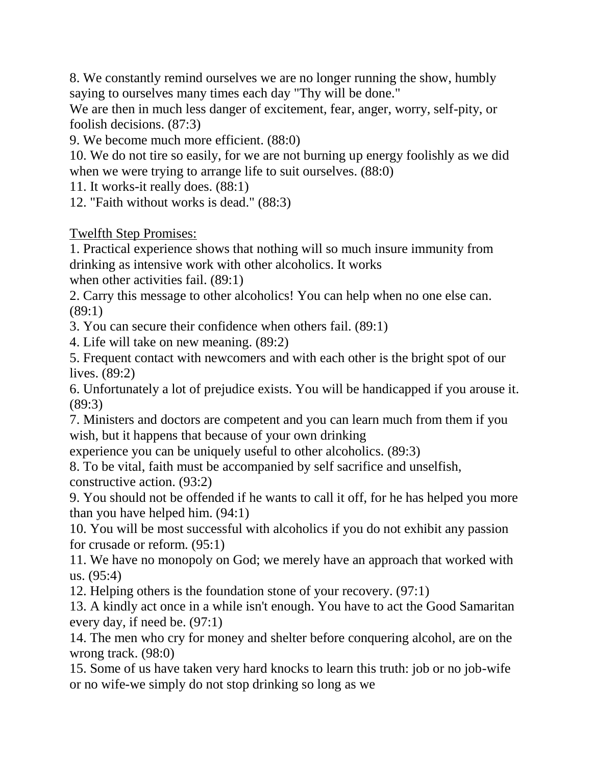8. We constantly remind ourselves we are no longer running the show, humbly saying to ourselves many times each day "Thy will be done."

We are then in much less danger of excitement, fear, anger, worry, self-pity, or foolish decisions. (87:3)

9. We become much more efficient. (88:0)

10. We do not tire so easily, for we are not burning up energy foolishly as we did when we were trying to arrange life to suit ourselves.  $(88:0)$ 

11. It works-it really does. (88:1)

12. "Faith without works is dead." (88:3)

Twelfth Step Promises:

1. Practical experience shows that nothing will so much insure immunity from drinking as intensive work with other alcoholics. It works

when other activities fail. (89:1)

2. Carry this message to other alcoholics! You can help when no one else can. (89:1)

3. You can secure their confidence when others fail. (89:1)

4. Life will take on new meaning. (89:2)

5. Frequent contact with newcomers and with each other is the bright spot of our lives. (89:2)

6. Unfortunately a lot of prejudice exists. You will be handicapped if you arouse it. (89:3)

7. Ministers and doctors are competent and you can learn much from them if you wish, but it happens that because of your own drinking

experience you can be uniquely useful to other alcoholics. (89:3)

8. To be vital, faith must be accompanied by self sacrifice and unselfish, constructive action. (93:2)

9. You should not be offended if he wants to call it off, for he has helped you more than you have helped him. (94:1)

10. You will be most successful with alcoholics if you do not exhibit any passion for crusade or reform. (95:1)

11. We have no monopoly on God; we merely have an approach that worked with us. (95:4)

12. Helping others is the foundation stone of your recovery. (97:1)

13. A kindly act once in a while isn't enough. You have to act the Good Samaritan every day, if need be. (97:1)

14. The men who cry for money and shelter before conquering alcohol, are on the wrong track. (98:0)

15. Some of us have taken very hard knocks to learn this truth: job or no job-wife or no wife-we simply do not stop drinking so long as we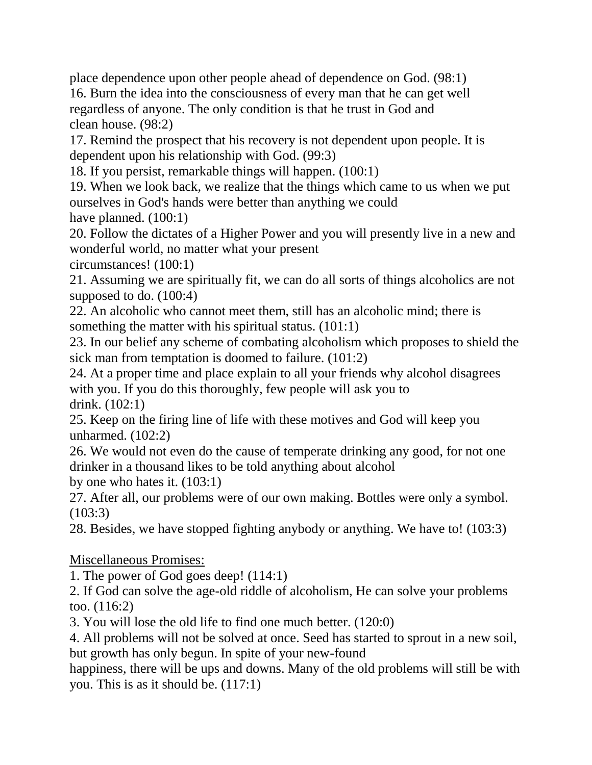place dependence upon other people ahead of dependence on God. (98:1)

16. Burn the idea into the consciousness of every man that he can get well regardless of anyone. The only condition is that he trust in God and clean house. (98:2)

17. Remind the prospect that his recovery is not dependent upon people. It is dependent upon his relationship with God. (99:3)

18. If you persist, remarkable things will happen. (100:1)

19. When we look back, we realize that the things which came to us when we put ourselves in God's hands were better than anything we could

have planned. (100:1)

20. Follow the dictates of a Higher Power and you will presently live in a new and wonderful world, no matter what your present

circumstances! (100:1)

21. Assuming we are spiritually fit, we can do all sorts of things alcoholics are not supposed to do. (100:4)

22. An alcoholic who cannot meet them, still has an alcoholic mind; there is something the matter with his spiritual status. (101:1)

23. In our belief any scheme of combating alcoholism which proposes to shield the sick man from temptation is doomed to failure. (101:2)

24. At a proper time and place explain to all your friends why alcohol disagrees with you. If you do this thoroughly, few people will ask you to drink. (102:1)

25. Keep on the firing line of life with these motives and God will keep you unharmed. (102:2)

26. We would not even do the cause of temperate drinking any good, for not one drinker in a thousand likes to be told anything about alcohol

by one who hates it. (103:1)

27. After all, our problems were of our own making. Bottles were only a symbol. (103:3)

28. Besides, we have stopped fighting anybody or anything. We have to! (103:3)

Miscellaneous Promises:

1. The power of God goes deep! (114:1)

2. If God can solve the age-old riddle of alcoholism, He can solve your problems too. (116:2)

3. You will lose the old life to find one much better. (120:0)

4. All problems will not be solved at once. Seed has started to sprout in a new soil, but growth has only begun. In spite of your new-found

happiness, there will be ups and downs. Many of the old problems will still be with you. This is as it should be. (117:1)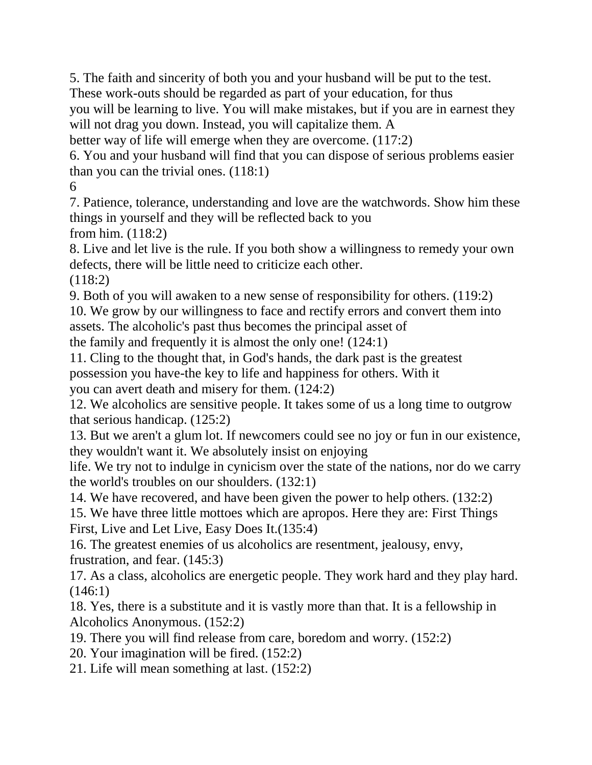5. The faith and sincerity of both you and your husband will be put to the test. These work-outs should be regarded as part of your education, for thus

you will be learning to live. You will make mistakes, but if you are in earnest they will not drag you down. Instead, you will capitalize them. A

better way of life will emerge when they are overcome. (117:2)

6. You and your husband will find that you can dispose of serious problems easier than you can the trivial ones. (118:1)

6

7. Patience, tolerance, understanding and love are the watchwords. Show him these things in yourself and they will be reflected back to you from him. (118:2)

8. Live and let live is the rule. If you both show a willingness to remedy your own defects, there will be little need to criticize each other.

(118:2)

9. Both of you will awaken to a new sense of responsibility for others. (119:2) 10. We grow by our willingness to face and rectify errors and convert them into assets. The alcoholic's past thus becomes the principal asset of

the family and frequently it is almost the only one! (124:1)

11. Cling to the thought that, in God's hands, the dark past is the greatest possession you have-the key to life and happiness for others. With it you can avert death and misery for them. (124:2)

12. We alcoholics are sensitive people. It takes some of us a long time to outgrow that serious handicap. (125:2)

13. But we aren't a glum lot. If newcomers could see no joy or fun in our existence, they wouldn't want it. We absolutely insist on enjoying

life. We try not to indulge in cynicism over the state of the nations, nor do we carry the world's troubles on our shoulders. (132:1)

14. We have recovered, and have been given the power to help others. (132:2)

15. We have three little mottoes which are apropos. Here they are: First Things First, Live and Let Live, Easy Does It.(135:4)

16. The greatest enemies of us alcoholics are resentment, jealousy, envy, frustration, and fear. (145:3)

17. As a class, alcoholics are energetic people. They work hard and they play hard.  $(146:1)$ 

18. Yes, there is a substitute and it is vastly more than that. It is a fellowship in Alcoholics Anonymous. (152:2)

19. There you will find release from care, boredom and worry. (152:2)

20. Your imagination will be fired. (152:2)

21. Life will mean something at last. (152:2)